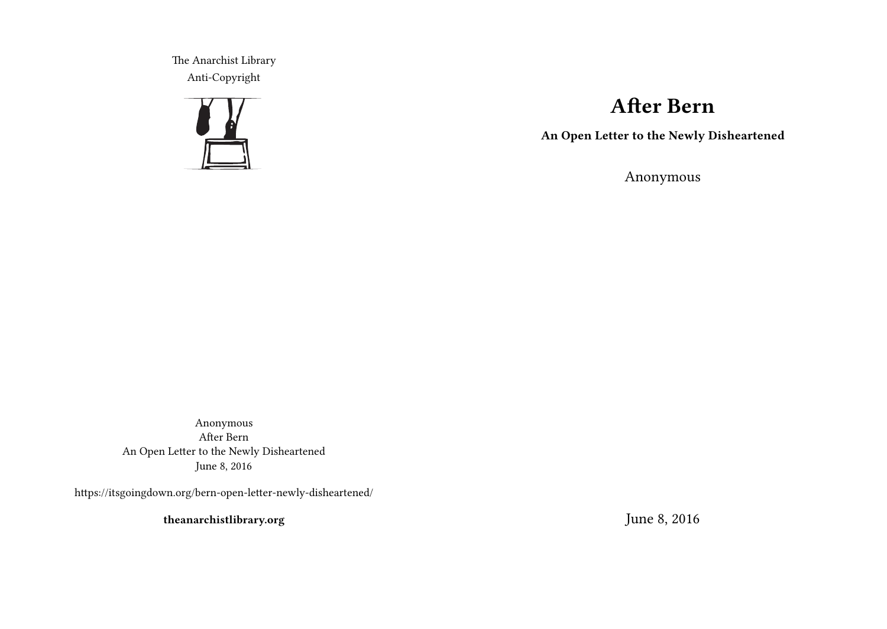The Anarchist Library Anti-Copyright



# **After Bern**

**An Open Letter to the Newly Disheartened**

Anonymous

Anonymous After Bern An Open Letter to the Newly Disheartened June 8, 2016

https://itsgoingdown.org/bern-open-letter-newly-disheartened/

**theanarchistlibrary.org**

June 8, 2016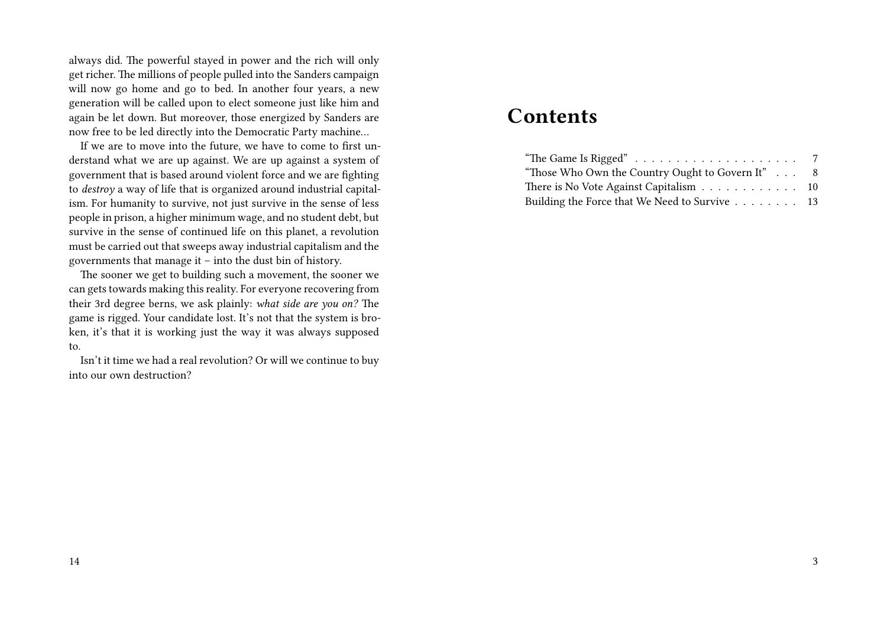always did. The powerful stayed in power and the rich will only get richer. The millions of people pulled into the Sanders campaign will now go home and go to bed. In another four years, a new generation will be called upon to elect someone just like him and again be let down. But moreover, those energized by Sanders are now free to be led directly into the Democratic Party machine…

If we are to move into the future, we have to come to first understand what we are up against. We are up against a system of government that is based around violent force and we are fighting to *destroy* a way of life that is organized around industrial capitalism. For humanity to survive, not just survive in the sense of less people in prison, a higher minimum wage, and no student debt, but survive in the sense of continued life on this planet, a revolution must be carried out that sweeps away industrial capitalism and the governments that manage it – into the dust bin of history.

The sooner we get to building such a movement, the sooner we can gets towards making this reality. For everyone recovering from their 3rd degree berns, we ask plainly: *what side are you on?* The game is rigged. Your candidate lost. It's not that the system is broken, it's that it is working just the way it was always supposed to.

Isn't it time we had a real revolution? Or will we continue to buy into our own destruction?

## **Contents**

| "Those Who Own the Country Ought to Govern It" 8 |  |
|--------------------------------------------------|--|
| There is No Vote Against Capitalism 10           |  |
| Building the Force that We Need to Survive 13    |  |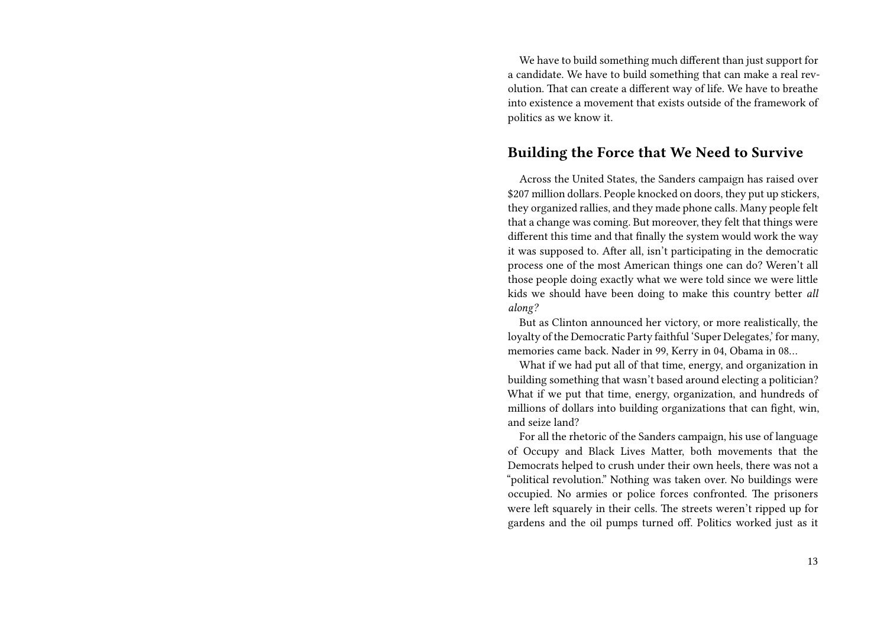We have to build something much different than just support for a candidate. We have to build something that can make a real revolution. That can create a different way of life. We have to breathe into existence a movement that exists outside of the framework of politics as we know it.

#### **Building the Force that We Need to Survive**

Across the United States, the Sanders campaign has raised over \$207 million dollars. People knocked on doors, they put up stickers, they organized rallies, and they made phone calls. Many people felt that a change was coming. But moreover, they felt that things were different this time and that finally the system would work the way it was supposed to. After all, isn't participating in the democratic process one of the most American things one can do? Weren't all those people doing exactly what we were told since we were little kids we should have been doing to make this country better *all along?*

But as Clinton announced her victory, or more realistically, the loyalty of the Democratic Party faithful 'Super Delegates,' for many, memories came back. Nader in 99, Kerry in 04, Obama in 08…

What if we had put all of that time, energy, and organization in building something that wasn't based around electing a politician? What if we put that time, energy, organization, and hundreds of millions of dollars into building organizations that can fight, win, and seize land?

For all the rhetoric of the Sanders campaign, his use of language of Occupy and Black Lives Matter, both movements that the Democrats helped to crush under their own heels, there was not a "political revolution." Nothing was taken over. No buildings were occupied. No armies or police forces confronted. The prisoners were left squarely in their cells. The streets weren't ripped up for gardens and the oil pumps turned off. Politics worked just as it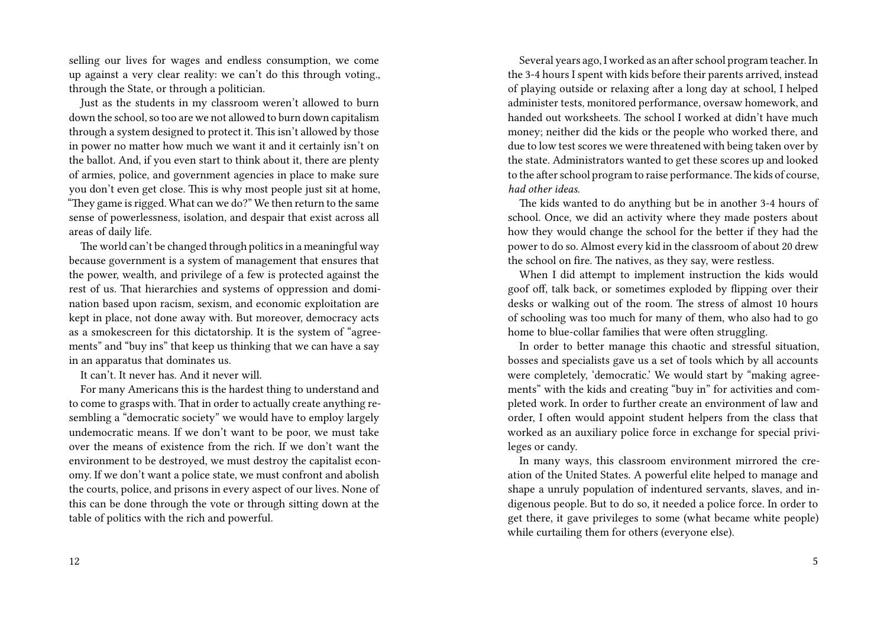selling our lives for wages and endless consumption, we come up against a very clear reality: we can't do this through voting., through the State, or through a politician.

Just as the students in my classroom weren't allowed to burn down the school, so too are we not allowed to burn down capitalism through a system designed to protect it. This isn't allowed by those in power no matter how much we want it and it certainly isn't on the ballot. And, if you even start to think about it, there are plenty of armies, police, and government agencies in place to make sure you don't even get close. This is why most people just sit at home, "They game is rigged. What can we do?" We then return to the same sense of powerlessness, isolation, and despair that exist across all areas of daily life.

The world can't be changed through politics in a meaningful way because government is a system of management that ensures that the power, wealth, and privilege of a few is protected against the rest of us. That hierarchies and systems of oppression and domination based upon racism, sexism, and economic exploitation are kept in place, not done away with. But moreover, democracy acts as a smokescreen for this dictatorship. It is the system of "agreements" and "buy ins" that keep us thinking that we can have a say in an apparatus that dominates us.

It can't. It never has. And it never will.

For many Americans this is the hardest thing to understand and to come to grasps with. That in order to actually create anything resembling a "democratic society" we would have to employ largely undemocratic means. If we don't want to be poor, we must take over the means of existence from the rich. If we don't want the environment to be destroyed, we must destroy the capitalist economy. If we don't want a police state, we must confront and abolish the courts, police, and prisons in every aspect of our lives. None of this can be done through the vote or through sitting down at the table of politics with the rich and powerful.

Several years ago, I worked as an after school program teacher. In the 3-4 hours I spent with kids before their parents arrived, instead of playing outside or relaxing after a long day at school, I helped administer tests, monitored performance, oversaw homework, and handed out worksheets. The school I worked at didn't have much money; neither did the kids or the people who worked there, and due to low test scores we were threatened with being taken over by the state. Administrators wanted to get these scores up and looked to the after school program to raise performance.The kids of course, *had other ideas*.

The kids wanted to do anything but be in another 3-4 hours of school. Once, we did an activity where they made posters about how they would change the school for the better if they had the power to do so. Almost every kid in the classroom of about 20 drew the school on fire. The natives, as they say, were restless.

When I did attempt to implement instruction the kids would goof off, talk back, or sometimes exploded by flipping over their desks or walking out of the room. The stress of almost 10 hours of schooling was too much for many of them, who also had to go home to blue-collar families that were often struggling.

In order to better manage this chaotic and stressful situation, bosses and specialists gave us a set of tools which by all accounts were completely, 'democratic.' We would start by "making agreements" with the kids and creating "buy in" for activities and completed work. In order to further create an environment of law and order, I often would appoint student helpers from the class that worked as an auxiliary police force in exchange for special privileges or candy.

In many ways, this classroom environment mirrored the creation of the United States. A powerful elite helped to manage and shape a unruly population of indentured servants, slaves, and indigenous people. But to do so, it needed a police force. In order to get there, it gave privileges to some (what became white people) while curtailing them for others (everyone else).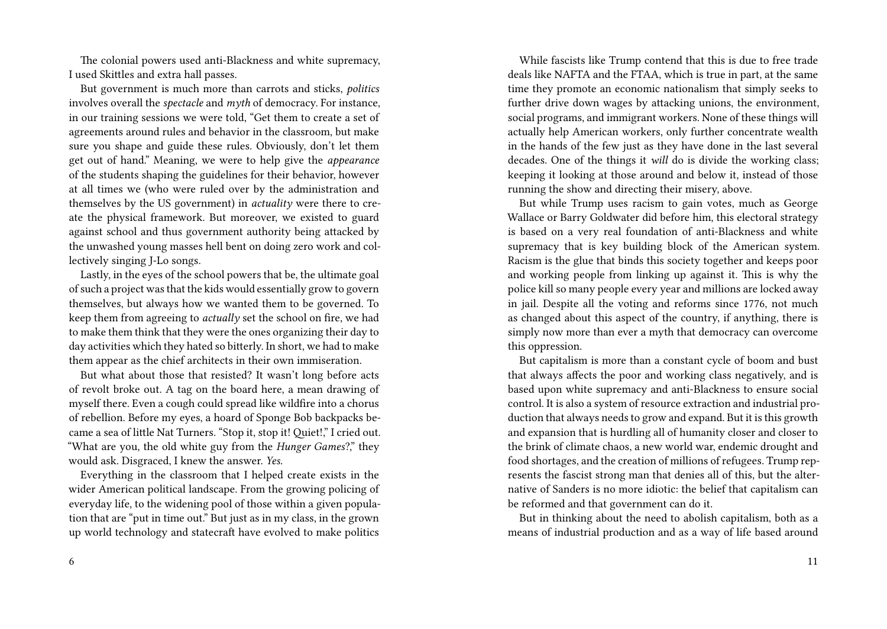The colonial powers used anti-Blackness and white supremacy, I used Skittles and extra hall passes.

But government is much more than carrots and sticks, *politics* involves overall the *spectacle* and *myth* of democracy. For instance, in our training sessions we were told, "Get them to create a set of agreements around rules and behavior in the classroom, but make sure you shape and guide these rules. Obviously, don't let them get out of hand." Meaning, we were to help give the *appearance* of the students shaping the guidelines for their behavior, however at all times we (who were ruled over by the administration and themselves by the US government) in *actuality* were there to create the physical framework. But moreover, we existed to guard against school and thus government authority being attacked by the unwashed young masses hell bent on doing zero work and collectively singing J-Lo songs.

Lastly, in the eyes of the school powers that be, the ultimate goal of such a project was that the kids would essentially grow to govern themselves, but always how we wanted them to be governed*.* To keep them from agreeing to *actually* set the school on fire, we had to make them think that they were the ones organizing their day to day activities which they hated so bitterly. In short, we had to make them appear as the chief architects in their own immiseration.

But what about those that resisted? It wasn't long before acts of revolt broke out. A tag on the board here, a mean drawing of myself there. Even a cough could spread like wildfire into a chorus of rebellion. Before my eyes, a hoard of Sponge Bob backpacks became a sea of little Nat Turners. "Stop it, stop it! Quiet!," I cried out. "What are you, the old white guy from the *Hunger Games*?," they would ask. Disgraced, I knew the answer. *Yes.*

Everything in the classroom that I helped create exists in the wider American political landscape. From the growing policing of everyday life, to the widening pool of those within a given population that are "put in time out." But just as in my class, in the grown up world technology and statecraft have evolved to make politics

While fascists like Trump contend that this is due to free trade deals like NAFTA and the FTAA, which is true in part, at the same time they promote an economic nationalism that simply seeks to further drive down wages by attacking unions, the environment, social programs, and immigrant workers. None of these things will actually help American workers, only further concentrate wealth in the hands of the few just as they have done in the last several decades. One of the things it *will* do is divide the working class; keeping it looking at those around and below it, instead of those running the show and directing their misery, above.

But while Trump uses racism to gain votes, much as George Wallace or Barry Goldwater did before him, this electoral strategy is based on a very real foundation of anti-Blackness and white supremacy that is key building block of the American system. Racism is the glue that binds this society together and keeps poor and working people from linking up against it. This is why the police kill so many people every year and millions are locked away in jail. Despite all the voting and reforms since 1776, not much as changed about this aspect of the country, if anything, there is simply now more than ever a myth that democracy can overcome this oppression.

But capitalism is more than a constant cycle of boom and bust that always affects the poor and working class negatively, and is based upon white supremacy and anti-Blackness to ensure social control. It is also a system of resource extraction and industrial production that always needs to grow and expand. But it is this growth and expansion that is hurdling all of humanity closer and closer to the brink of climate chaos, a new world war, endemic drought and food shortages, and the creation of millions of refugees. Trump represents the fascist strong man that denies all of this, but the alternative of Sanders is no more idiotic: the belief that capitalism can be reformed and that government can do it.

But in thinking about the need to abolish capitalism, both as a means of industrial production and as a way of life based around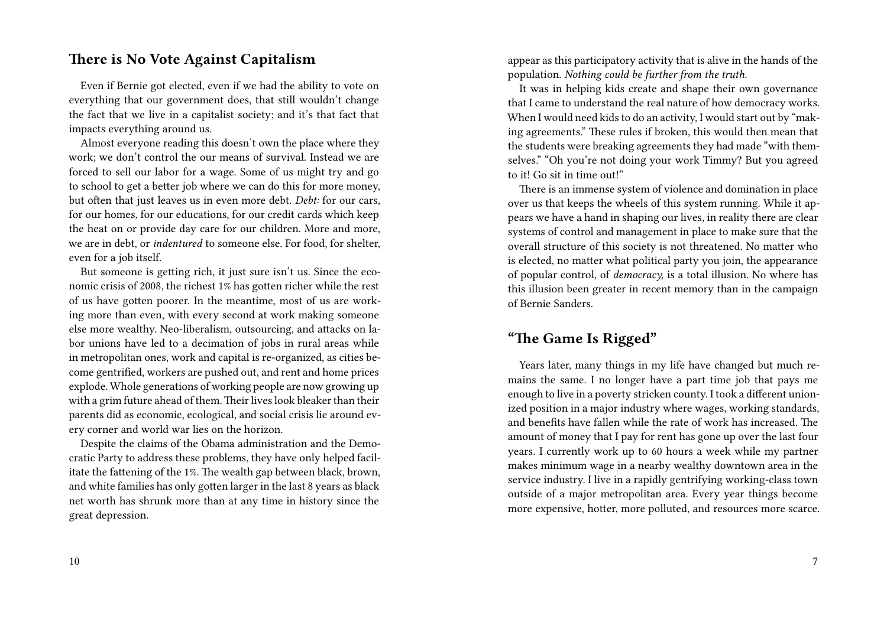#### **There is No Vote Against Capitalism**

Even if Bernie got elected, even if we had the ability to vote on everything that our government does, that still wouldn't change the fact that we live in a capitalist society; and it's that fact that impacts everything around us.

Almost everyone reading this doesn't own the place where they work; we don't control the our means of survival. Instead we are forced to sell our labor for a wage. Some of us might try and go to school to get a better job where we can do this for more money, but often that just leaves us in even more debt. *Debt:* for our cars, for our homes, for our educations, for our credit cards which keep the heat on or provide day care for our children. More and more, we are in debt, or *indentured* to someone else. For food, for shelter, even for a job itself.

But someone is getting rich, it just sure isn't us. Since the economic crisis of 2008, the richest 1% has gotten richer while the rest of us have gotten poorer. In the meantime, most of us are working more than even, with every second at work making someone else more wealthy. Neo-liberalism, outsourcing, and attacks on labor unions have led to a decimation of jobs in rural areas while in metropolitan ones, work and capital is re-organized, as cities become gentrified, workers are pushed out, and rent and home prices explode. Whole generations of working people are now growing up with a grim future ahead of them.Their lives look bleaker than their parents did as economic, ecological, and social crisis lie around every corner and world war lies on the horizon.

Despite the claims of the Obama administration and the Democratic Party to address these problems, they have only helped facilitate the fattening of the 1%. The wealth gap between black, brown, and white families has only gotten larger in the last 8 years as black net worth has shrunk more than at any time in history since the great depression.

10

appear as this participatory activity that is alive in the hands of the population. *Nothing could be further from the truth.*

It was in helping kids create and shape their own governance that I came to understand the real nature of how democracy works. When I would need kids to do an activity, I would start out by "making agreements." These rules if broken, this would then mean that the students were breaking agreements they had made "with themselves." "Oh you're not doing your work Timmy? But you agreed to it! Go sit in time out!"

There is an immense system of violence and domination in place over us that keeps the wheels of this system running. While it appears we have a hand in shaping our lives, in reality there are clear systems of control and management in place to make sure that the overall structure of this society is not threatened. No matter who is elected, no matter what political party you join, the appearance of popular control, of *democracy,* is a total illusion. No where has this illusion been greater in recent memory than in the campaign of Bernie Sanders.

### **"The Game Is Rigged"**

Years later, many things in my life have changed but much remains the same. I no longer have a part time job that pays me enough to live in a poverty stricken county. I took a different unionized position in a major industry where wages, working standards, and benefits have fallen while the rate of work has increased. The amount of money that I pay for rent has gone up over the last four years. I currently work up to 60 hours a week while my partner makes minimum wage in a nearby wealthy downtown area in the service industry. I live in a rapidly gentrifying working-class town outside of a major metropolitan area. Every year things become more expensive, hotter, more polluted, and resources more scarce.